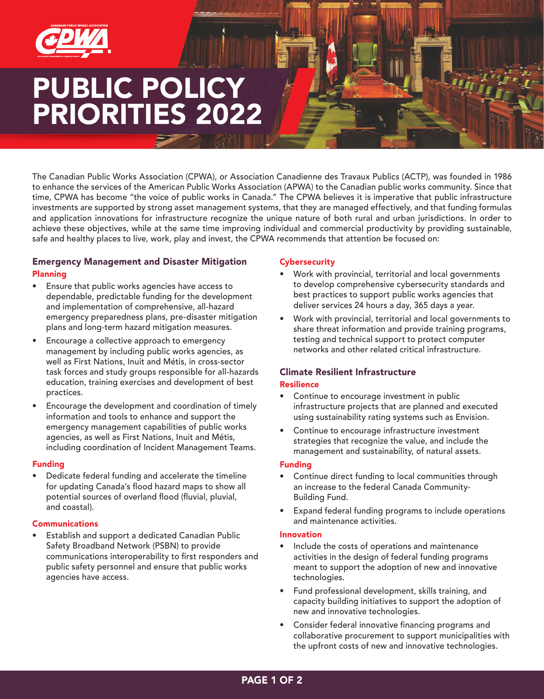

# PUBLIC POLICY PRIORITIES 2022

The Canadian Public Works Association (CPWA), or Association Canadienne des Travaux Publics (ACTP), was founded in 1986 to enhance the services of the American Public Works Association (APWA) to the Canadian public works community. Since that time, CPWA has become "the voice of public works in Canada." The CPWA believes it is imperative that public infrastructure investments are supported by strong asset management systems, that they are managed effectively, and that funding formulas and application innovations for infrastructure recognize the unique nature of both rural and urban jurisdictions. In order to achieve these objectives, while at the same time improving individual and commercial productivity by providing sustainable, safe and healthy places to live, work, play and invest, the CPWA recommends that attention be focused on:

### Emergency Management and Disaster Mitigation Planning

- Ensure that public works agencies have access to dependable, predictable funding for the development and implementation of comprehensive, all-hazard emergency preparedness plans, pre-disaster mitigation plans and long-term hazard mitigation measures.
- Encourage a collective approach to emergency management by including public works agencies, as well as First Nations, Inuit and Métis, in cross-sector task forces and study groups responsible for all-hazards education, training exercises and development of best practices.
- Encourage the development and coordination of timely information and tools to enhance and support the emergency management capabilities of public works agencies, as well as First Nations, Inuit and Métis, including coordination of Incident Management Teams.

#### Funding

• Dedicate federal funding and accelerate the timeline for updating Canada's flood hazard maps to show all potential sources of overland flood (fluvial, pluvial, and coastal).

#### Communications

Establish and support a dedicated Canadian Public Safety Broadband Network (PSBN) to provide communications interoperability to first responders and public safety personnel and ensure that public works agencies have access.

#### **Cybersecurity**

- Work with provincial, territorial and local governments to develop comprehensive cybersecurity standards and best practices to support public works agencies that deliver services 24 hours a day, 365 days a year.
- Work with provincial, territorial and local governments to share threat information and provide training programs, testing and technical support to protect computer networks and other related critical infrastructure.

## Climate Resilient Infrastructure

#### Resilience

- Continue to encourage investment in public infrastructure projects that are planned and executed using sustainability rating systems such as Envision.
- Continue to encourage infrastructure investment strategies that recognize the value, and include the management and sustainability, of natural assets.

#### Funding

- Continue direct funding to local communities through an increase to the federal Canada Community-Building Fund.
- Expand federal funding programs to include operations and maintenance activities.

#### Innovation

- Include the costs of operations and maintenance activities in the design of federal funding programs meant to support the adoption of new and innovative technologies.
- Fund professional development, skills training, and capacity building initiatives to support the adoption of new and innovative technologies.
- Consider federal innovative financing programs and collaborative procurement to support municipalities with the upfront costs of new and innovative technologies.